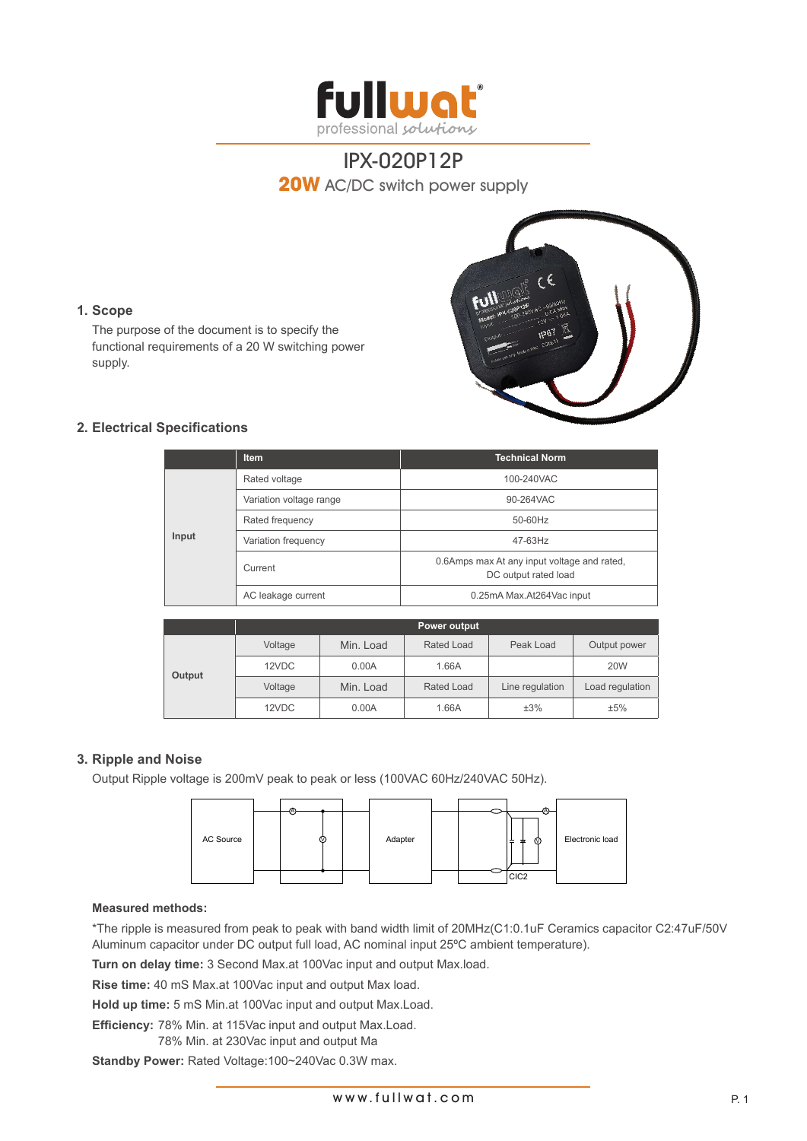



### **1. Scope**

The purpose of the document is to specify the functional requirements of a 20 W switching power supply.

## **2. Electrical Specifications**

|       | <b>Item</b>             | <b>Technical Norm</b>                                               |  |
|-------|-------------------------|---------------------------------------------------------------------|--|
| Input | Rated voltage           | 100-240VAC                                                          |  |
|       | Variation voltage range | 90-264VAC                                                           |  |
|       | Rated frequency         | 50-60Hz                                                             |  |
|       | Variation frequency     | $47-63$ Hz                                                          |  |
|       | Current                 | 0.6Amps max At any input voltage and rated,<br>DC output rated load |  |
|       | AC leakage current      | 0.25mA Max.At264Vac input                                           |  |

|        | Power output |           |            |                 |                 |  |  |
|--------|--------------|-----------|------------|-----------------|-----------------|--|--|
| Output | Voltage      | Min. Load | Rated Load | Peak Load       | Output power    |  |  |
|        | 12VDC        | 0.00A     | 1.66A      |                 | <b>20W</b>      |  |  |
|        | Voltage      | Min. Load | Rated Load | Line regulation | Load regulation |  |  |
|        | 12VDC        | 0.00A     | 1.66A      | ±3%             | ±5%             |  |  |

### **3. Ripple and Noise**

Output Ripple voltage is 200mV peak to peak or less (100VAC 60Hz/240VAC 50Hz).



#### **Measured methods:**

\*The ripple is measured from peak to peak with band width limit of 20MHz(C1:0.1uF Ceramics capacitor C2:47uF/50V Aluminum capacitor under DC output full load, AC nominal input 25ºC ambient temperature).

**Turn on delay time:** 3 Second Max.at 100Vac input and output Max.load.

**Rise time:** 40 mS Max.at 100Vac input and output Max load.

**Hold up time:** 5 mS Min.at 100Vac input and output Max.Load.

**Efficiency:** 78% Min. at 115Vac input and output Max.Load.

78% Min. at 230Vac input and output Ma

**Standby Power:** Rated Voltage:100~240Vac 0.3W max.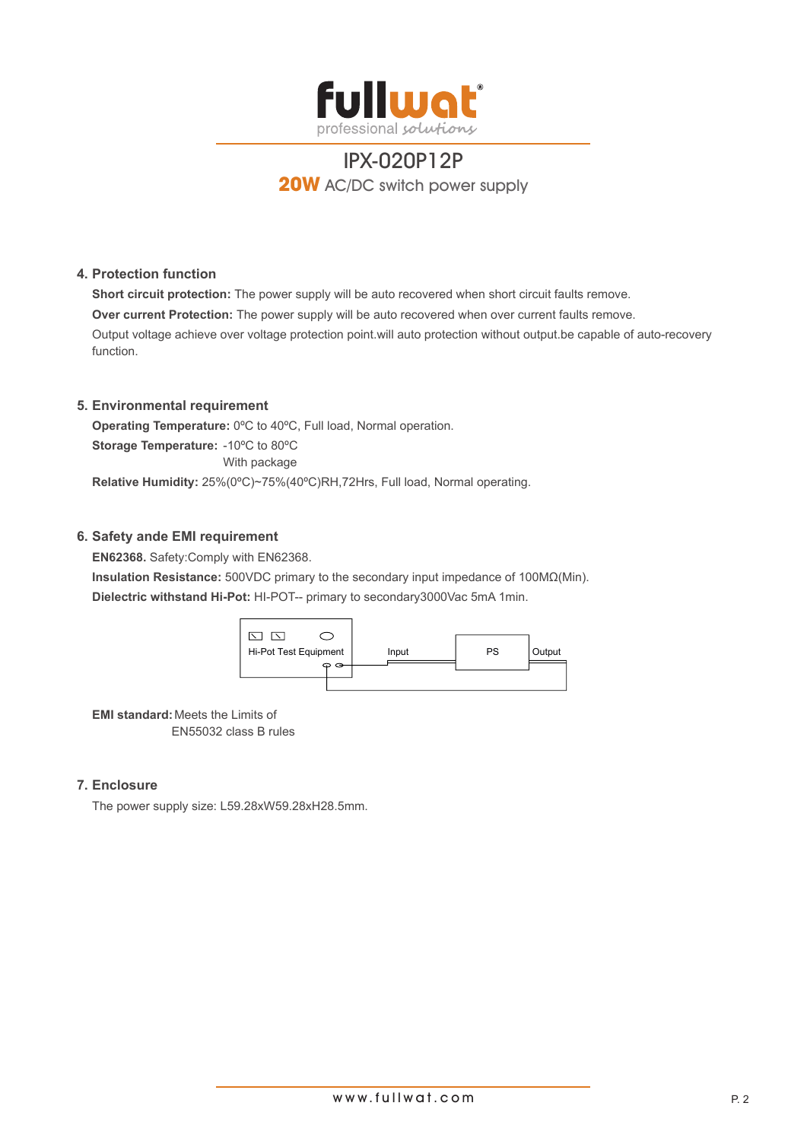

### **4. Protection function**

**Short circuit protection:** The power supply will be auto recovered when short circuit faults remove. **Over current Protection:** The power supply will be auto recovered when over current faults remove. Output voltage achieve over voltage protection point.will auto protection without output.be capable of auto-recovery function.

## **5. Environmental requirement**

**Operating Temperature:** 0ºC to 40ºC, Full load, Normal operation. **Storage Temperature:** -10ºC to 80ºC With package **Relative Humidity:** 25%(0ºC)~75%(40ºC)RH,72Hrs, Full load, Normal operating.

## **6. Safety ande EMI requirement**

**EN62368.** Safety:Comply with EN62368. **Insulation Resistance:** 500VDC primary to the secondary input impedance of 100MΩ(Min). **Dielectric withstand Hi-Pot:** HI-POT-- primary to secondary3000Vac 5mA 1min.



**EMI standard:**Meets the Limits of EN55032 class B rules

### **7. Enclosure**

The power supply size: L59.28xW59.28xH28.5mm.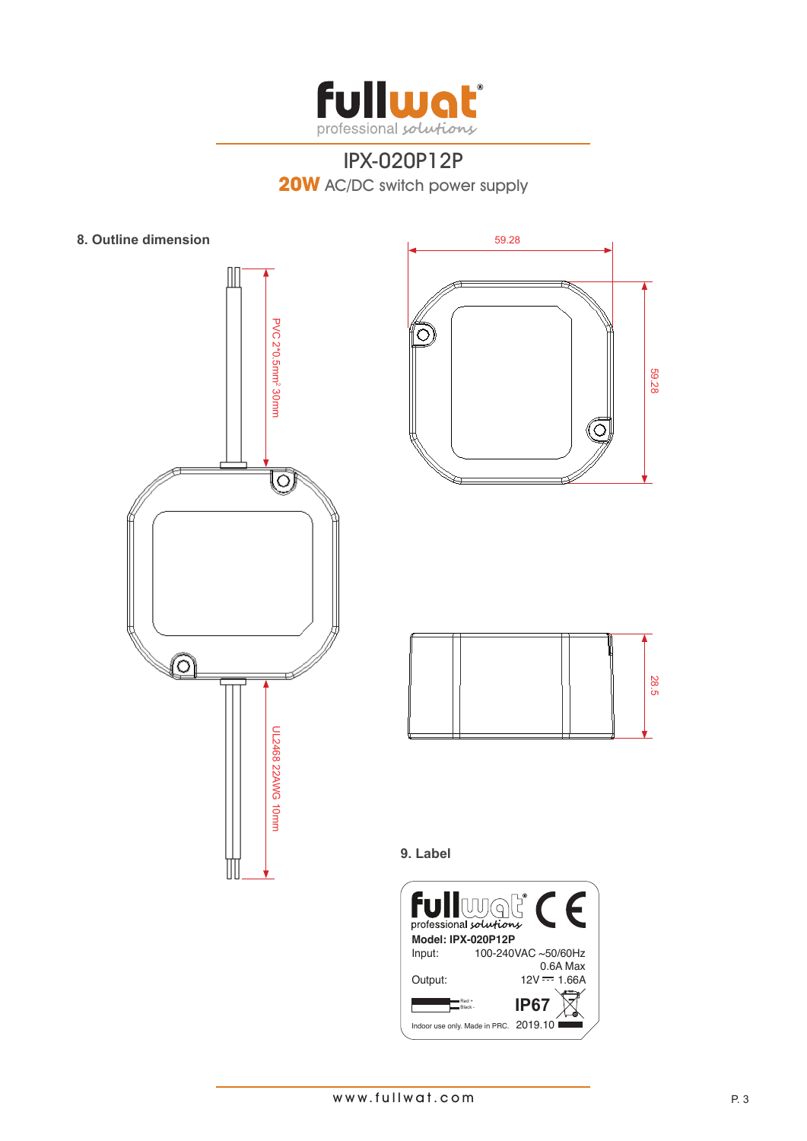

**8. Outline dimension**







**9. Label**